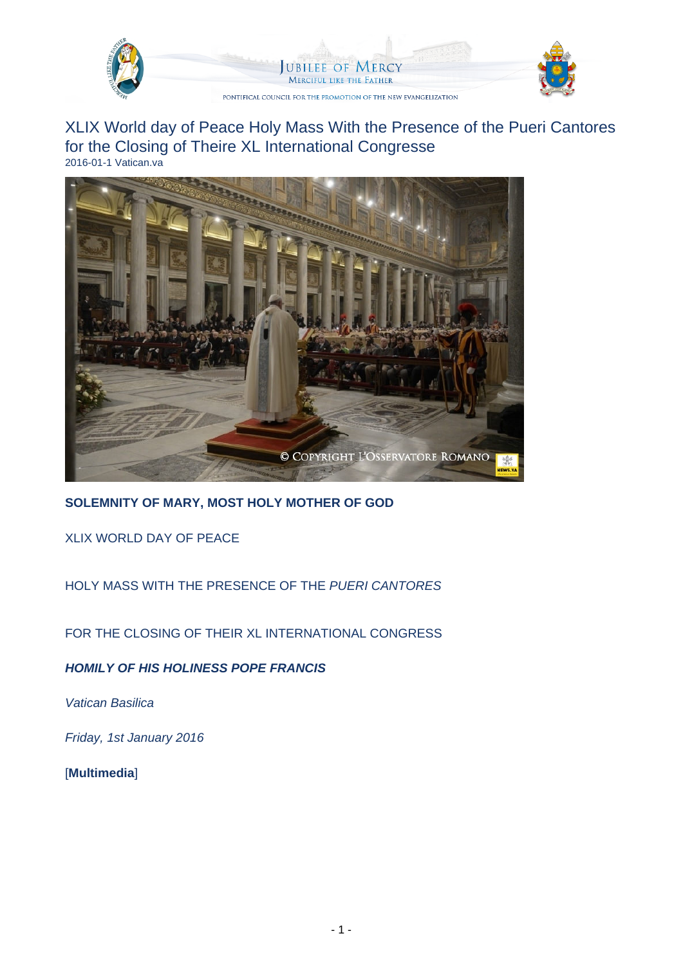

**UBILEE OF MERCY MERCIFUL LIKE THE FATHER** 

PONTIFICAL COUNCIL FOR THE PROMOTION OF THE NEW EVANGELIZATION



XLIX World day of Peace Holy Mass With the Presence of the Pueri Cantores for the Closing of Theire XL International Congresse 2016-01-1 Vatican.va



**SOLEMNITY OF MARY, MOST HOLY MOTHER OF GOD**

XLIX WORLD DAY OF PEACE

HOLY MASS WITH THE PRESENCE OF THE PUERI CANTORES

FOR THE CLOSING OF THEIR XL INTERNATIONAL CONGRESS

**HOMILY OF HIS HOLINESS POPE FRANCIS**

Vatican Basilica

Friday, 1st January 2016

[**Multimedia**]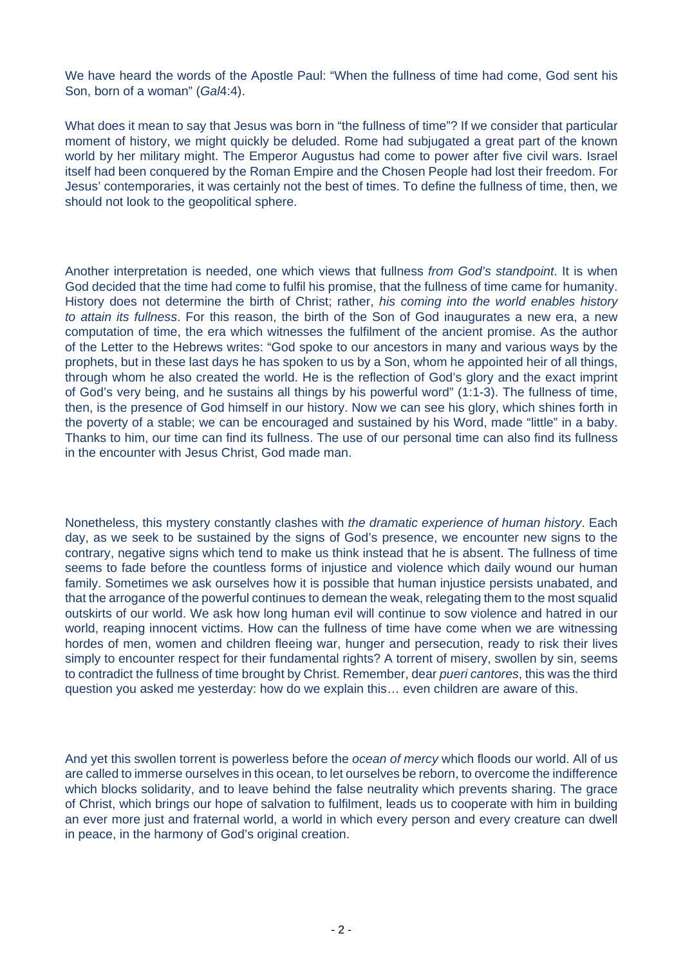We have heard the words of the Apostle Paul: "When the fullness of time had come, God sent his Son, born of a woman" (Gal4:4).

What does it mean to say that Jesus was born in "the fullness of time"? If we consider that particular moment of history, we might quickly be deluded. Rome had subjugated a great part of the known world by her military might. The Emperor Augustus had come to power after five civil wars. Israel itself had been conquered by the Roman Empire and the Chosen People had lost their freedom. For Jesus' contemporaries, it was certainly not the best of times. To define the fullness of time, then, we should not look to the geopolitical sphere.

Another interpretation is needed, one which views that fullness from God's standpoint. It is when God decided that the time had come to fulfil his promise, that the fullness of time came for humanity. History does not determine the birth of Christ; rather, his coming into the world enables history to attain its fullness. For this reason, the birth of the Son of God inaugurates a new era, a new computation of time, the era which witnesses the fulfilment of the ancient promise. As the author of the Letter to the Hebrews writes: "God spoke to our ancestors in many and various ways by the prophets, but in these last days he has spoken to us by a Son, whom he appointed heir of all things, through whom he also created the world. He is the reflection of God's glory and the exact imprint of God's very being, and he sustains all things by his powerful word" (1:1-3). The fullness of time, then, is the presence of God himself in our history. Now we can see his glory, which shines forth in the poverty of a stable; we can be encouraged and sustained by his Word, made "little" in a baby. Thanks to him, our time can find its fullness. The use of our personal time can also find its fullness in the encounter with Jesus Christ, God made man.

Nonetheless, this mystery constantly clashes with the dramatic experience of human history. Each day, as we seek to be sustained by the signs of God's presence, we encounter new signs to the contrary, negative signs which tend to make us think instead that he is absent. The fullness of time seems to fade before the countless forms of injustice and violence which daily wound our human family. Sometimes we ask ourselves how it is possible that human injustice persists unabated, and that the arrogance of the powerful continues to demean the weak, relegating them to the most squalid outskirts of our world. We ask how long human evil will continue to sow violence and hatred in our world, reaping innocent victims. How can the fullness of time have come when we are witnessing hordes of men, women and children fleeing war, hunger and persecution, ready to risk their lives simply to encounter respect for their fundamental rights? A torrent of misery, swollen by sin, seems to contradict the fullness of time brought by Christ. Remember, dear *pueri cantores*, this was the third question you asked me yesterday: how do we explain this… even children are aware of this.

And yet this swollen torrent is powerless before the *ocean of mercy* which floods our world. All of us are called to immerse ourselves in this ocean, to let ourselves be reborn, to overcome the indifference which blocks solidarity, and to leave behind the false neutrality which prevents sharing. The grace of Christ, which brings our hope of salvation to fulfilment, leads us to cooperate with him in building an ever more just and fraternal world, a world in which every person and every creature can dwell in peace, in the harmony of God's original creation.